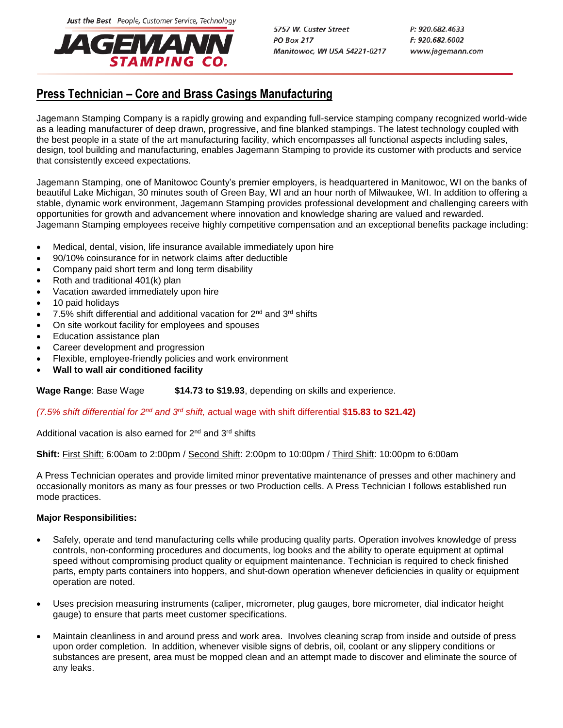Just the Best People, Customer Service, Technology



5757 W. Custer Street **PO Box 217** Manitowoc, WI USA 54221-0217 P: 920.682.4633 F: 920.682.6002 www.jagemann.com

# **Press Technician – Core and Brass Casings Manufacturing**

Jagemann Stamping Company is a rapidly growing and expanding full-service stamping company recognized world-wide as a leading manufacturer of deep drawn, progressive, and fine blanked stampings. The latest technology coupled with the best people in a state of the art manufacturing facility, which encompasses all functional aspects including sales, design, tool building and manufacturing, enables Jagemann Stamping to provide its customer with products and service that consistently exceed expectations.

Jagemann Stamping, one of Manitowoc County's premier employers, is headquartered in Manitowoc, WI on the banks of beautiful Lake Michigan, 30 minutes south of Green Bay, WI and an hour north of Milwaukee, WI. In addition to offering a stable, dynamic work environment, Jagemann Stamping provides professional development and challenging careers with opportunities for growth and advancement where innovation and knowledge sharing are valued and rewarded. Jagemann Stamping employees receive highly competitive compensation and an exceptional benefits package including:

- Medical, dental, vision, life insurance available immediately upon hire
- 90/10% coinsurance for in network claims after deductible
- Company paid short term and long term disability
- Roth and traditional 401(k) plan
- Vacation awarded immediately upon hire
- 10 paid holidays
- 7.5% shift differential and additional vacation for 2<sup>nd</sup> and 3<sup>rd</sup> shifts
- On site workout facility for employees and spouses
- Education assistance plan
- Career development and progression
- Flexible, employee-friendly policies and work environment
- **Wall to wall air conditioned facility**

**Wage Range**: Base Wage **\$14.73 to \$19.93**, depending on skills and experience.

## *(7.5% shift differential for 2nd and 3rd shift, a*ctual wage with shift differential \$**15.83 to \$21.42)**

Additional vacation is also earned for 2<sup>nd</sup> and 3<sup>rd</sup> shifts

## **Shift:** First Shift: 6:00am to 2:00pm / Second Shift: 2:00pm to 10:00pm / Third Shift: 10:00pm to 6:00am

A Press Technician operates and provide limited minor preventative maintenance of presses and other machinery and occasionally monitors as many as four presses or two Production cells. A Press Technician I follows established run mode practices.

## **Major Responsibilities:**

- Safely, operate and tend manufacturing cells while producing quality parts. Operation involves knowledge of press controls, non-conforming procedures and documents, log books and the ability to operate equipment at optimal speed without compromising product quality or equipment maintenance. Technician is required to check finished parts, empty parts containers into hoppers, and shut-down operation whenever deficiencies in quality or equipment operation are noted.
- Uses precision measuring instruments (caliper, micrometer, plug gauges, bore micrometer, dial indicator height gauge) to ensure that parts meet customer specifications.
- Maintain cleanliness in and around press and work area. Involves cleaning scrap from inside and outside of press upon order completion. In addition, whenever visible signs of debris, oil, coolant or any slippery conditions or substances are present, area must be mopped clean and an attempt made to discover and eliminate the source of any leaks.